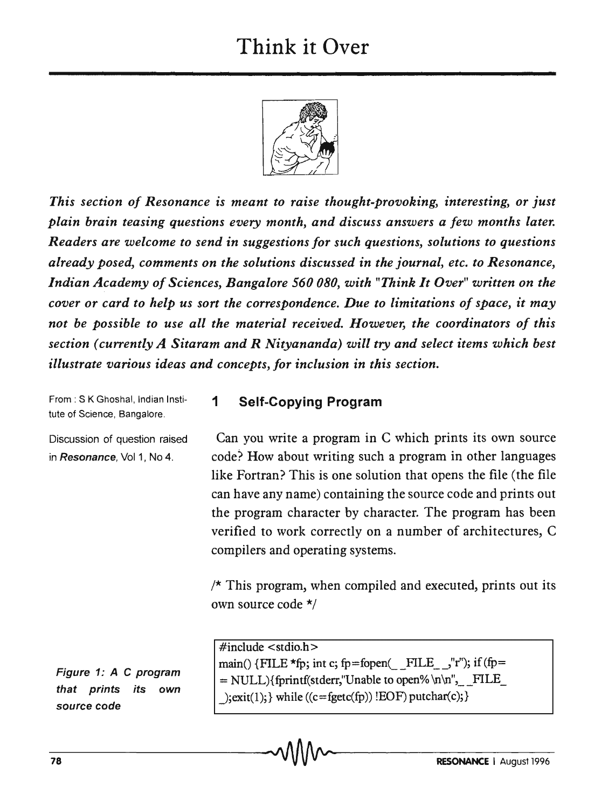## Think it Over



*This section of Resonance is meant to raise thought-provoking, interesting,* or *just plain brain teasing questions every month, and discuss answers a few months later. Readers are welcome to send in suggestions for such questions, solutions to questions already posed, comments on the solutions discussed in the journal, etc. to Resonance, Indian Academy of Sciences, Bangalore 560080, with "Think It Over" written on the cover* or *card to help us sort the correspondence. Due to limitations of space, it may not be possible to use all the material received. However, the coordinators of this section (currently A Sitaram and R Nityananda) will try and select items which best illustrate various ideas and concepts, for inclusion in this section.* 

1 Self-Copying Program

From: S K Ghoshal, Indian Institute of Science, Bangalore.

Discussion of question raised in Resonance, Vol 1, No 4.

Can you write a program in C which prints its own source code? How about writing such a program in other languages like Fortran? This is one solution that opens the file (the file can have any name) containing the source code and prints out the program character by character. The program has been verified to work correctly on a number of architectures, C compilers and operating systems.

 $/*$  This program, when compiled and executed, prints out its own source code \*/

Figure 1: A C program that prints its own source code

 $\#$ include  $\lt$ stdio.h $>$ main() {FILE \*fp; int c; fp=fopen( FILE  $\prime$ ,"r"); if (fp=  $=$  NULL){fprintf(stderr,"Unable to open% \n\n", \_\_ FILE  $\text{lexit}(1);$  while  $((c = \text{feetc(fp)}) ! \text{EOF}) \text{putchar}(c);$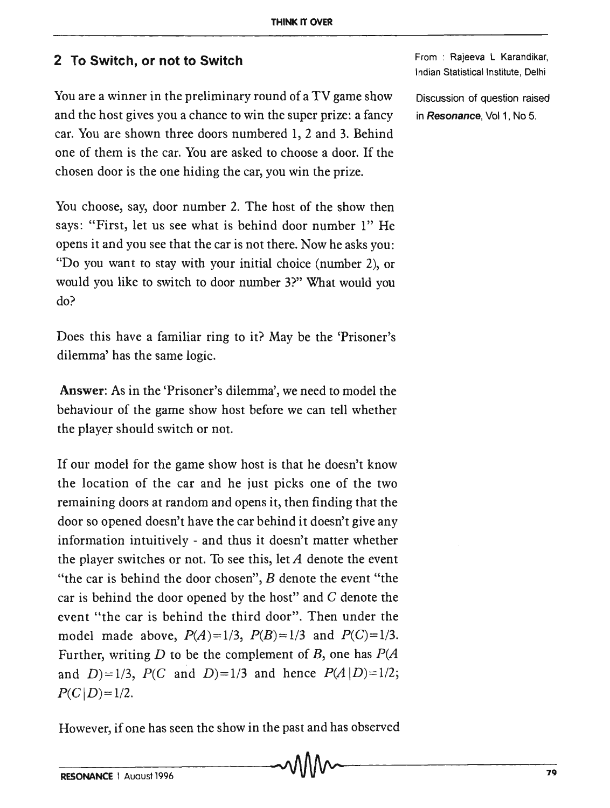## **2 To Switch, or not to Switch**

You are a winner in the preliminary round of a TV game show and the host gives you a chance to win the super prize: a fancy car. You are shown three doors numbered 1, 2 and 3. Behind one of them is the car. You are asked to choose a door. If the chosen door is the one hiding the car, you win the prize.

You choose, say, door number 2. The host of the show then says: "First, let us see what is behind door number 1" He opens it and you see that the car is not there. Now he asks you: "Do you want to stay with your initial choice (number 2), or would you like to switch to door number 3?" What would you do?

Does this have a familiar ring to it? May be the 'Prisoner's dilemma' has the same logic.

Answer: As in the 'Prisoner's dilemma', we need to model the behaviour of the game show host before we can tell whether the player should switch or not.

If our model for the game show host is that he doesn't know the location of the car and he just picks one of the two remaining doors at random and opens it, then finding that the door so opened doesn't have the car behind it doesn't give any information intuitively - and thus it doesn't matter whether the player switches or not. To see this, let *A* denote the event "the car is behind the door chosen",  $B$  denote the event "the car is behind the door opened by the host" and  $C$  denote the event "the car is behind the third door", Then under the model made above,  $P(A)=1/3$ ,  $P(B)=1/3$  and  $P(C)=1/3$ . Further, writing *D* to be the complement of *B*, one has  $P(A)$ and  $D=1/3$ ,  $P(C \text{ and } D)=1/3$  and hence  $P(A|D)=1/2$ ;  $P(C|D)=1/2$ .

However, if one has seen the show in the past and has observed

From : Rajeeva L Karandikar, Indian Statistical Institute, Delhi

Discussion of question raised in *Resonance*, Vol 1, No 5.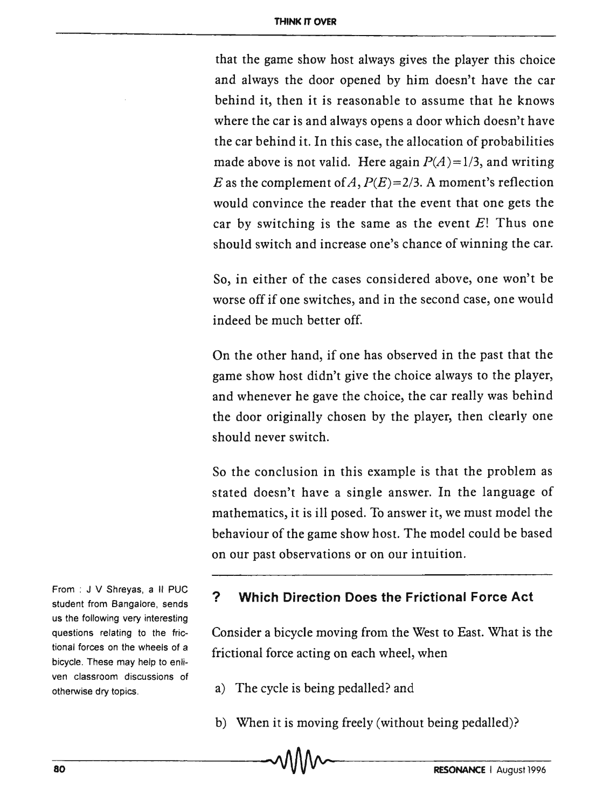that the game show host always gives the player this choice and always the door opened by him doesn't have the car behind it, then it is reasonable to assume that he knows where the car is and always opens a door which doesn't have the car behind it. In this case, the allocation of probabilities made above is not valid. Here again  $P(A)=1/3$ , and writing E as the complement of A,  $P(E)=2/3$ . A moment's reflection would convince the reader that the event that one gets the car by switching is the same as the event *E!* Thus one should switch and increase one's chance of winning the car.

So, in either of the cases considered above, one won't be worse off if one switches, and in the second case, one would indeed be much better off.

On the other hand, if one has observed in the past that the game show host didn't give the choice always to the player, and whenever he gave the choice, the car really was behind the door originally chosen by the player, then clearly one should never switch.

So the conclusion in this example is that the problem as stated doesn't have a single answer. In the language of mathematics, it is ill posed. To answer it, we must model the behaviour of the game show host. The model could be based on our past observations or on our intuition.

**? Which Direction Does the Frictional Force Act** 

Consider a bicycle moving from the West to East. What is the frictional force acting on each wheel, when

- a) The cycle is being pedalled? and
- b) When it is moving freely (without being pedalled)?

From : J V Shreyas, a II PUC student from Bangalore, sends us the following very interesting questions relating to the frictional forces on the wheels of a bicycle. These may help to enliven classroom discussions of otherwise dry topics.